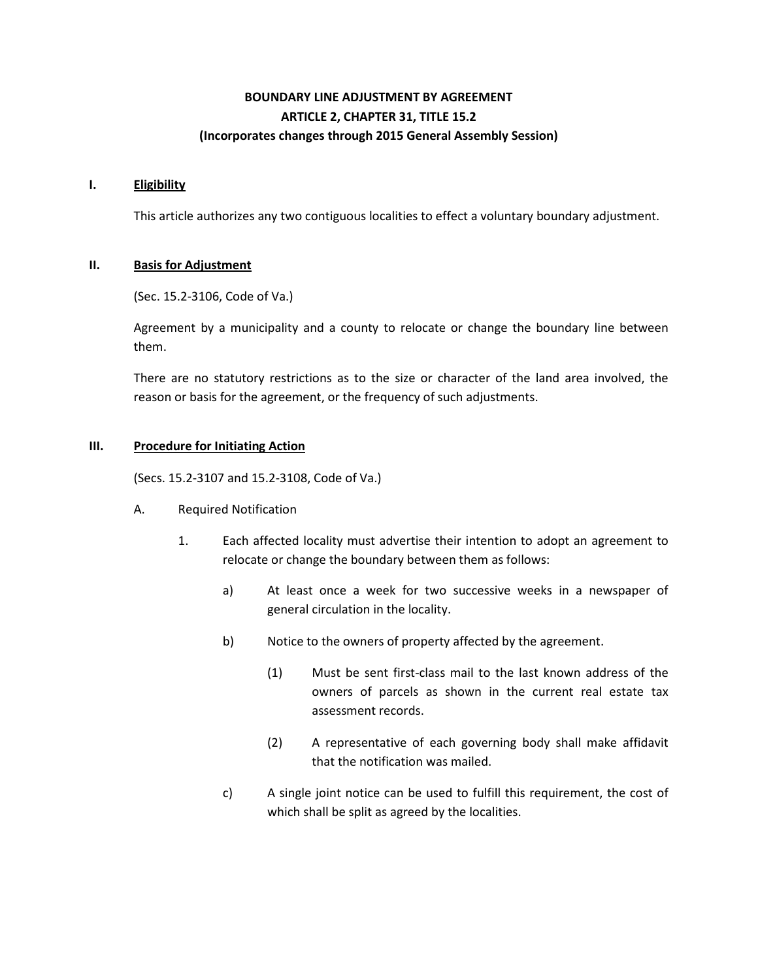# **BOUNDARY LINE ADJUSTMENT BY AGREEMENT ARTICLE 2, CHAPTER 31, TITLE 15.2 (Incorporates changes through 2015 General Assembly Session)**

#### **I. Eligibility**

This article authorizes any two contiguous localities to effect a voluntary boundary adjustment.

## **II. Basis for Adjustment**

(Sec. 15.2-3106, Code of Va.)

Agreement by a municipality and a county to relocate or change the boundary line between them.

There are no statutory restrictions as to the size or character of the land area involved, the reason or basis for the agreement, or the frequency of such adjustments.

## **III. Procedure for Initiating Action**

(Secs. 15.2-3107 and 15.2-3108, Code of Va.)

- A. Required Notification
	- 1. Each affected locality must advertise their intention to adopt an agreement to relocate or change the boundary between them as follows:
		- a) At least once a week for two successive weeks in a newspaper of general circulation in the locality.
		- b) Notice to the owners of property affected by the agreement.
			- (1) Must be sent first-class mail to the last known address of the owners of parcels as shown in the current real estate tax assessment records.
			- (2) A representative of each governing body shall make affidavit that the notification was mailed.
		- c) A single joint notice can be used to fulfill this requirement, the cost of which shall be split as agreed by the localities.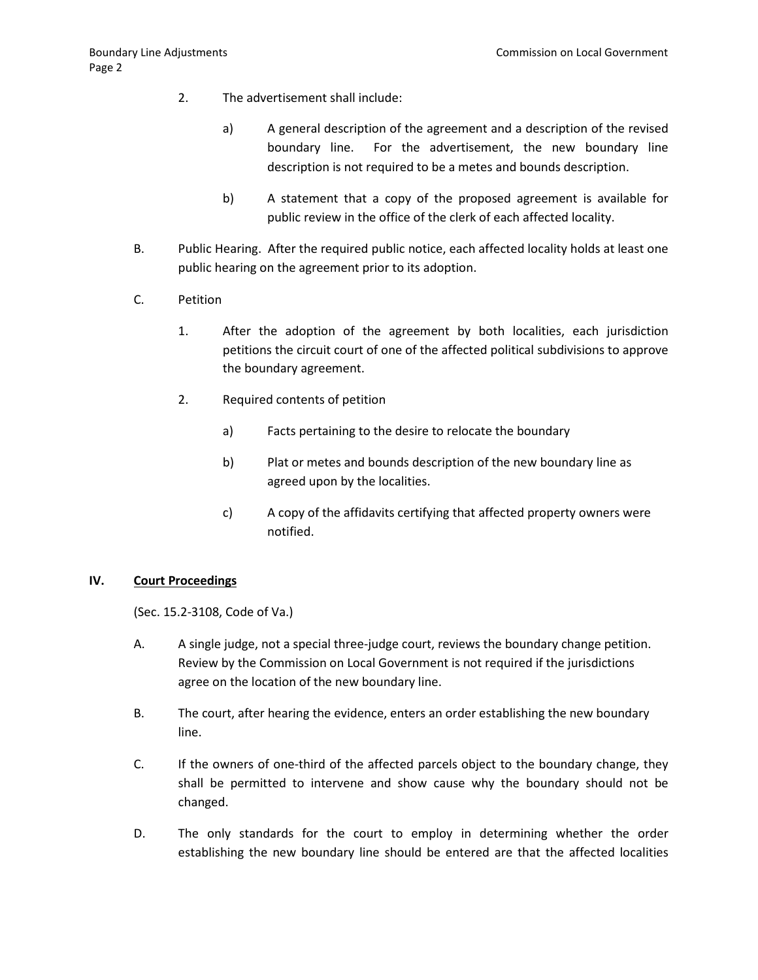- 2. The advertisement shall include:
	- a) A general description of the agreement and a description of the revised boundary line. For the advertisement, the new boundary line description is not required to be a metes and bounds description.
	- b) A statement that a copy of the proposed agreement is available for public review in the office of the clerk of each affected locality.
- B. Public Hearing. After the required public notice, each affected locality holds at least one public hearing on the agreement prior to its adoption.
- C. Petition
	- 1. After the adoption of the agreement by both localities, each jurisdiction petitions the circuit court of one of the affected political subdivisions to approve the boundary agreement.
	- 2. Required contents of petition
		- a) Facts pertaining to the desire to relocate the boundary
		- b) Plat or metes and bounds description of the new boundary line as agreed upon by the localities.
		- c) A copy of the affidavits certifying that affected property owners were notified.

#### **IV. Court Proceedings**

(Sec. 15.2-3108, Code of Va.)

- A. A single judge, not a special three-judge court, reviews the boundary change petition. Review by the Commission on Local Government is not required if the jurisdictions agree on the location of the new boundary line.
- B. The court, after hearing the evidence, enters an order establishing the new boundary line.
- C. If the owners of one-third of the affected parcels object to the boundary change, they shall be permitted to intervene and show cause why the boundary should not be changed.
- D. The only standards for the court to employ in determining whether the order establishing the new boundary line should be entered are that the affected localities